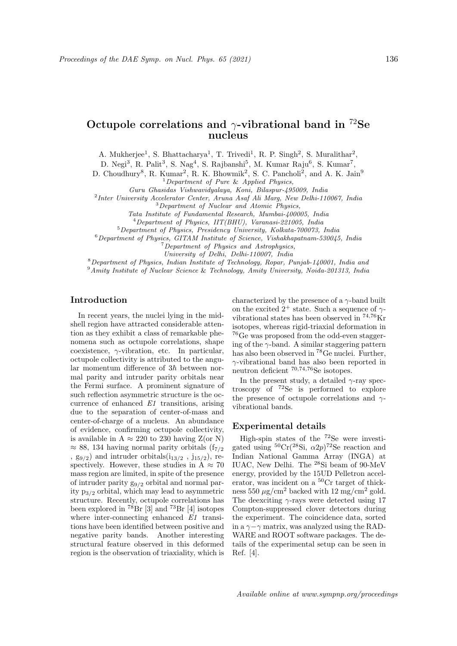# Octupole correlations and  $\gamma$ -vibrational band in <sup>72</sup>Se nucleus

A. Mukherjee<sup>1</sup>, S. Bhattacharya<sup>1</sup>, T. Trivedi<sup>1</sup>, R. P. Singh<sup>2</sup>, S. Muralithar<sup>2</sup>,

D. Negi<sup>3</sup>, R. Palit<sup>3</sup>, S. Nag<sup>4</sup>, S. Rajbanshi<sup>5</sup>, M. Kumar Raju<sup>6</sup>, S. Kumar<sup>7</sup>,

D. Choudhury<sup>8</sup>, R. Kumar<sup>2</sup>, R. K. Bhowmik<sup>2</sup>, S. C. Pancholi<sup>2</sup>, and A. K. Jain<sup>9</sup>

<sup>1</sup>Department of Pure & Applied Physics,

Guru Ghasidas Vishwavidyalaya, Koni, Bilaspur-495009, India

<sup>2</sup>Inter University Accelerator Center, Aruna Asaf Ali Marg, New Delhi-110067, India

<sup>3</sup>Department of Nuclear and Atomic Physics,

Tata Institute of Fundamental Research, Mumbai-400005, India

<sup>4</sup>Department of Physics, IIT(BHU), Varanasi-221005, India

<sup>5</sup>Department of Physics, Presidency University, Kolkata-700073, India

 $6$ Department of Physics, GITAM Institute of Science, Vishakhapatnam-530045, India <sup>7</sup>Department of Physics and Astrophysics,

University of Delhi, Delhi-110007, India

<sup>8</sup>Department of Physics, Indian Institute of Technology, Ropar, Punjab-140001, India and

<sup>9</sup>Amity Institute of Nuclear Science & Technology, Amity University, Noida-201313, India

## Introduction

In recent years, the nuclei lying in the midshell region have attracted considerable attention as they exhibit a class of remarkable phenomena such as octupole correlations, shape coexistence,  $\gamma$ -vibration, etc. In particular, octupole collectivity is attributed to the angular momentum difference of  $3\hbar$  between normal parity and intruder parity orbitals near the Fermi surface. A prominent signature of such reflection asymmetric structure is the occurrence of enhanced E1 transitions, arising due to the separation of center-of-mass and center-of-charge of a nucleus. An abundance of evidence, confirming octupole collectivity, is available in  $A \approx 220$  to 230 having  $Z(\text{or } N)$  $\approx$  88, 134 having normal parity orbitals (f<sub>7/2</sub>) ,  $g_{9/2}$ ) and intruder orbitals( $i_{13/2}$ ,  $j_{15/2}$ ), respectively. However, these studies in  $\AA \approx 70$ mass region are limited, in spite of the presence of intruder parity  $g_{9/2}$  orbital and normal parity  $p_{3/2}$  orbital, which may lead to asymmetric structure. Recently, octupole correlations has been explored in  $^{78}Br$  [3] and  $^{73}Br$  [4] isotopes where inter-connecting enhanced  $E1$  transitions have been identified between positive and negative parity bands. Another interesting structural feature observed in this deformed region is the observation of triaxiality, which is characterized by the presence of a  $\gamma$ -band built on the excited  $2^+$  state. Such a sequence of  $\gamma$ vibrational states has been observed in  $^{74,76}\rm{Kr}$ isotopes, whereas rigid-triaxial deformation in <sup>76</sup>Ge was proposed from the odd-even staggering of the  $\gamma$ -band. A similar staggering pattern has also been observed in <sup>78</sup>Ge nuclei. Further, γ-vibrational band has also been reported in neutron deficient  $70,74,76$ Se isotopes.

In the present study, a detailed  $\gamma$ -ray spectroscopy of <sup>72</sup>Se is performed to explore the presence of octupole correlations and  $\gamma$ vibrational bands.

#### Experimental details

High-spin states of the <sup>72</sup>Se were investigated using  ${}^{50}Cr({}^{28}Si, \alpha2p){}^{72}Se$  reaction and Indian National Gamma Array (INGA) at IUAC, New Delhi. The <sup>28</sup>Si beam of 90-MeV energy, provided by the 15UD Pelletron accelerator, was incident on a <sup>50</sup>Cr target of thickness 550  $\mu$ g/cm<sup>2</sup> backed with 12 mg/cm<sup>2</sup> gold. The deexciting  $\gamma$ -rays were detected using 17 Compton-suppressed clover detectors during the experiment. The coincidence data, sorted in a  $\gamma$  – $\gamma$  matrix, was analyzed using the RAD-WARE and ROOT software packages. The details of the experimental setup can be seen in Ref. [4].